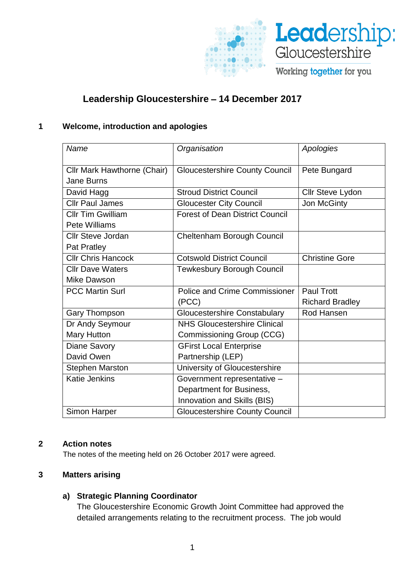

# **Leadership Gloucestershire** – **14 December 2017**

#### **1 Welcome, introduction and apologies**

| Name                                      | Organisation                           | Apologies              |
|-------------------------------------------|----------------------------------------|------------------------|
| Cllr Mark Hawthorne (Chair)<br>Jane Burns | <b>Gloucestershire County Council</b>  | Pete Bungard           |
| David Hagg                                | <b>Stroud District Council</b>         | Cllr Steve Lydon       |
| <b>Cllr Paul James</b>                    | <b>Gloucester City Council</b>         | Jon McGinty            |
| <b>CIIr Tim Gwilliam</b>                  | <b>Forest of Dean District Council</b> |                        |
| Pete Williams                             |                                        |                        |
| <b>Cllr Steve Jordan</b>                  | Cheltenham Borough Council             |                        |
| Pat Pratley                               |                                        |                        |
| <b>Cllr Chris Hancock</b>                 | <b>Cotswold District Council</b>       | <b>Christine Gore</b>  |
| <b>Cllr Dave Waters</b>                   | <b>Tewkesbury Borough Council</b>      |                        |
| Mike Dawson                               |                                        |                        |
| <b>PCC Martin Surl</b>                    | <b>Police and Crime Commissioner</b>   | <b>Paul Trott</b>      |
|                                           | (PCC)                                  | <b>Richard Bradley</b> |
| <b>Gary Thompson</b>                      | <b>Gloucestershire Constabulary</b>    | Rod Hansen             |
| Dr Andy Seymour                           | <b>NHS Gloucestershire Clinical</b>    |                        |
| <b>Mary Hutton</b>                        | Commissioning Group (CCG)              |                        |
| Diane Savory                              | <b>GFirst Local Enterprise</b>         |                        |
| David Owen                                | Partnership (LEP)                      |                        |
| <b>Stephen Marston</b>                    | University of Gloucestershire          |                        |
| <b>Katie Jenkins</b>                      | Government representative -            |                        |
|                                           | Department for Business,               |                        |
|                                           | Innovation and Skills (BIS)            |                        |
| Simon Harper                              | <b>Gloucestershire County Council</b>  |                        |

#### **2 Action notes**

The notes of the meeting held on 26 October 2017 were agreed.

# **3 Matters arising**

## **a) Strategic Planning Coordinator**

The Gloucestershire Economic Growth Joint Committee had approved the detailed arrangements relating to the recruitment process. The job would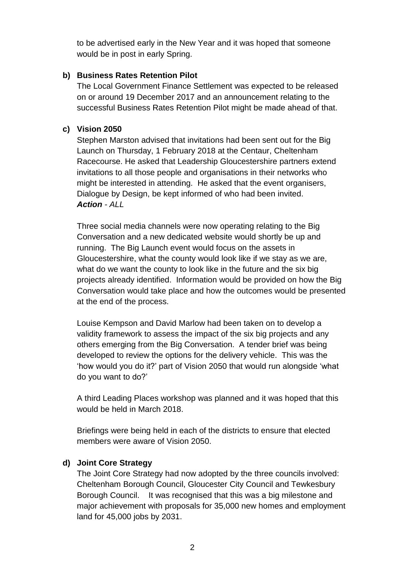to be advertised early in the New Year and it was hoped that someone would be in post in early Spring.

## **b) Business Rates Retention Pilot**

The Local Government Finance Settlement was expected to be released on or around 19 December 2017 and an announcement relating to the successful Business Rates Retention Pilot might be made ahead of that.

# **c) Vision 2050**

Stephen Marston advised that invitations had been sent out for the Big Launch on Thursday, 1 February 2018 at the Centaur, Cheltenham Racecourse. He asked that Leadership Gloucestershire partners extend invitations to all those people and organisations in their networks who might be interested in attending. He asked that the event organisers, Dialogue by Design, be kept informed of who had been invited. *Action - ALL*

Three social media channels were now operating relating to the Big Conversation and a new dedicated website would shortly be up and running. The Big Launch event would focus on the assets in Gloucestershire, what the county would look like if we stay as we are, what do we want the county to look like in the future and the six big projects already identified. Information would be provided on how the Big Conversation would take place and how the outcomes would be presented at the end of the process.

Louise Kempson and David Marlow had been taken on to develop a validity framework to assess the impact of the six big projects and any others emerging from the Big Conversation. A tender brief was being developed to review the options for the delivery vehicle. This was the 'how would you do it?' part of Vision 2050 that would run alongside 'what do you want to do?'

A third Leading Places workshop was planned and it was hoped that this would be held in March 2018.

Briefings were being held in each of the districts to ensure that elected members were aware of Vision 2050.

## **d) Joint Core Strategy**

The Joint Core Strategy had now adopted by the three councils involved: Cheltenham Borough Council, Gloucester City Council and Tewkesbury Borough Council. It was recognised that this was a big milestone and major achievement with proposals for 35,000 new homes and employment land for 45,000 jobs by 2031.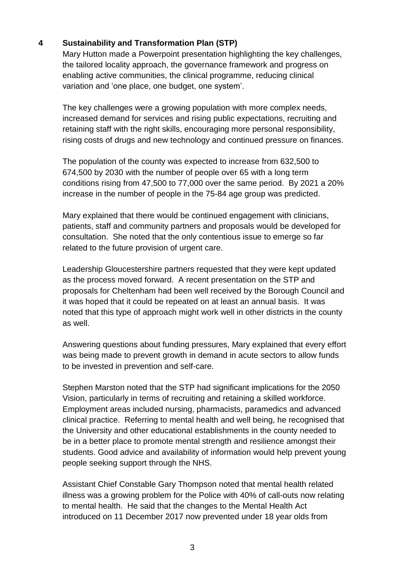# **4 Sustainability and Transformation Plan (STP)**

Mary Hutton made a Powerpoint presentation highlighting the key challenges, the tailored locality approach, the governance framework and progress on enabling active communities, the clinical programme, reducing clinical variation and 'one place, one budget, one system'.

The key challenges were a growing population with more complex needs, increased demand for services and rising public expectations, recruiting and retaining staff with the right skills, encouraging more personal responsibility, rising costs of drugs and new technology and continued pressure on finances.

The population of the county was expected to increase from 632,500 to 674,500 by 2030 with the number of people over 65 with a long term conditions rising from 47,500 to 77,000 over the same period. By 2021 a 20% increase in the number of people in the 75-84 age group was predicted.

Mary explained that there would be continued engagement with clinicians, patients, staff and community partners and proposals would be developed for consultation. She noted that the only contentious issue to emerge so far related to the future provision of urgent care.

Leadership Gloucestershire partners requested that they were kept updated as the process moved forward. A recent presentation on the STP and proposals for Cheltenham had been well received by the Borough Council and it was hoped that it could be repeated on at least an annual basis. It was noted that this type of approach might work well in other districts in the county as well.

Answering questions about funding pressures, Mary explained that every effort was being made to prevent growth in demand in acute sectors to allow funds to be invested in prevention and self-care.

Stephen Marston noted that the STP had significant implications for the 2050 Vision, particularly in terms of recruiting and retaining a skilled workforce. Employment areas included nursing, pharmacists, paramedics and advanced clinical practice. Referring to mental health and well being, he recognised that the University and other educational establishments in the county needed to be in a better place to promote mental strength and resilience amongst their students. Good advice and availability of information would help prevent young people seeking support through the NHS.

Assistant Chief Constable Gary Thompson noted that mental health related illness was a growing problem for the Police with 40% of call-outs now relating to mental health. He said that the changes to the Mental Health Act introduced on 11 December 2017 now prevented under 18 year olds from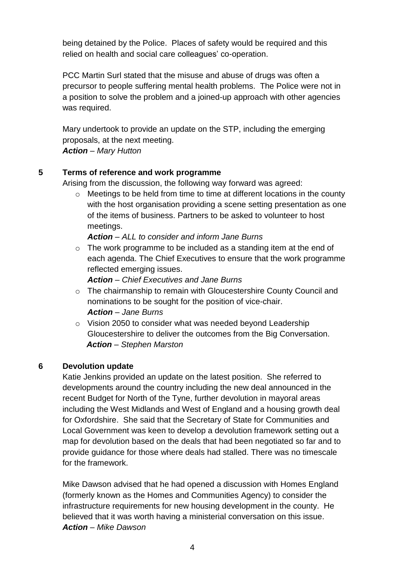being detained by the Police. Places of safety would be required and this relied on health and social care colleagues' co-operation.

PCC Martin Surl stated that the misuse and abuse of drugs was often a precursor to people suffering mental health problems. The Police were not in a position to solve the problem and a joined-up approach with other agencies was required.

Mary undertook to provide an update on the STP, including the emerging proposals, at the next meeting. *Action – Mary Hutton*

# **5 Terms of reference and work programme**

Arising from the discussion, the following way forward was agreed:

o Meetings to be held from time to time at different locations in the county with the host organisation providing a scene setting presentation as one of the items of business. Partners to be asked to volunteer to host meetings.

*Action – ALL to consider and inform Jane Burns*

o The work programme to be included as a standing item at the end of each agenda. The Chief Executives to ensure that the work programme reflected emerging issues.

*Action – Chief Executives and Jane Burns*

- $\circ$  The chairmanship to remain with Gloucestershire County Council and nominations to be sought for the position of vice-chair. *Action – Jane Burns*
- o Vision 2050 to consider what was needed beyond Leadership Gloucestershire to deliver the outcomes from the Big Conversation. *Action – Stephen Marston*

# **6 Devolution update**

Katie Jenkins provided an update on the latest position. She referred to developments around the country including the new deal announced in the recent Budget for North of the Tyne, further devolution in mayoral areas including the West Midlands and West of England and a housing growth deal for Oxfordshire. She said that the Secretary of State for Communities and Local Government was keen to develop a devolution framework setting out a map for devolution based on the deals that had been negotiated so far and to provide guidance for those where deals had stalled. There was no timescale for the framework.

Mike Dawson advised that he had opened a discussion with Homes England (formerly known as the Homes and Communities Agency) to consider the infrastructure requirements for new housing development in the county. He believed that it was worth having a ministerial conversation on this issue. *Action – Mike Dawson*